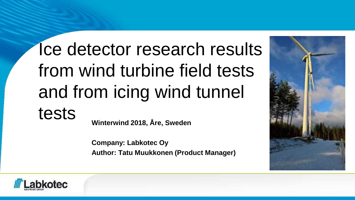# Ice detector research results from wind turbine field tests and from icing wind tunnel tests **Winterwind 2018, Åre, Sweden**

**Company: Labkotec Oy Author: Tatu Muukkonen (Product Manager)**



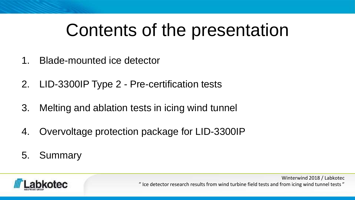## Contents of the presentation

- 1. Blade-mounted ice detector
- 2. LID-3300IP Type 2 Pre-certification tests
- 3. Melting and ablation tests in icing wind tunnel
- 4. Overvoltage protection package for LID-3300IP
- 5. Summary

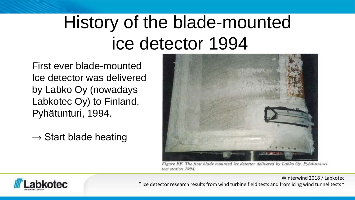# History of the blade-mounted ice detector 1994

First ever blade-mounted Ice detector was delivered by Labko Oy (nowadays Labkotec Oy) to Finland, Pyhätunturi, 1994.

 $\rightarrow$  Start blade heating



Figure BF. The first blade mounted ice detector delivered by Labko Oy. Pyhätuniuri test station 1994.

Winterwind 2018 / Labkotec

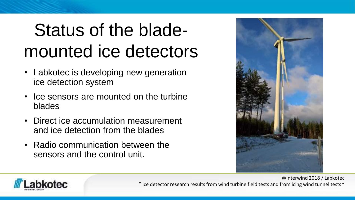# Status of the blademounted ice detectors

- Labkotec is developing new generation ice detection system
- Ice sensors are mounted on the turbine blades
- Direct ice accumulation measurement and ice detection from the blades
- Radio communication between the sensors and the control unit.



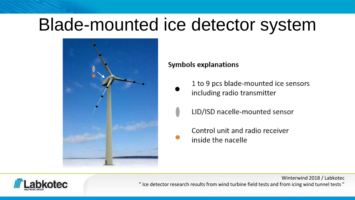### Blade-mounted ice detector system



#### Symbols explanations

- 1 to 9 pcs blade-mounted ice sensors including radio transmitter
	- LID/ISD nacelle-mounted sensor
- Control unit and radio receiver inside the nacelle



" Ice detector research results from wind turbine field tests and from icing wind tunnel tests "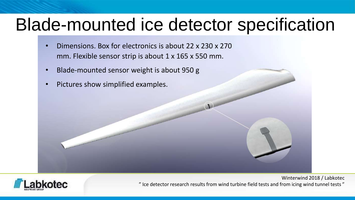### Blade-mounted ice detector specification

- Dimensions. Box for electronics is about 22 x 230 x 270 mm. Flexible sensor strip is about 1 x 165 x 550 mm.
- Blade-mounted sensor weight is about 950 g
- Pictures show simplified examples.

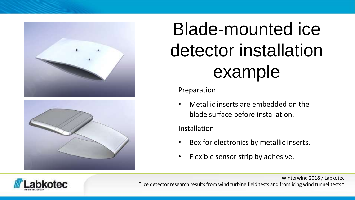



# Blade-mounted ice detector installation example

#### Preparation

• Metallic inserts are embedded on the blade surface before installation.

### Installation

- Box for electronics by metallic inserts.
- Flexible sensor strip by adhesive.



" Ice detector research results from wind turbine field tests and from icing wind tunnel tests "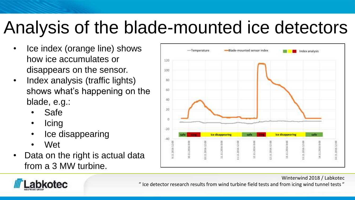# Analysis of the blade-mounted ice detectors

- Ice index (orange line) shows how ice accumulates or disappears on the sensor.
- Index analysis (traffic lights) shows what's happening on the blade, e.g.:
	- Safe
	- Icing
	- Ice disappearing
	- Wet
- Data on the right is actual data from a 3 MW turbine.





" Ice detector research results from wind turbine field tests and from icing wind tunnel tests "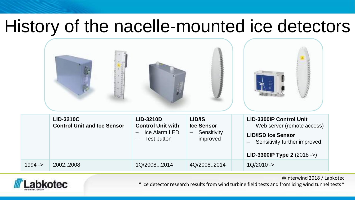### History of the nacelle-mounted ice detectors

|          | <b>LID-3210C</b><br><b>Control Unit and Ice Sensor</b> | LID/IS<br>LID-3210D<br><b>Control Unit with</b><br><b>Ice Sensor</b><br>Ice Alarm LED<br>Sensitivity<br>—<br>improved<br>Test button |             | <b>LID-3300IP Control Unit</b><br>Web server (remote access)<br><b>LID/ISD Ice Sensor</b><br>Sensitivity further improved<br>LID-3300IP Type 2 (2018 ->) |  |
|----------|--------------------------------------------------------|--------------------------------------------------------------------------------------------------------------------------------------|-------------|----------------------------------------------------------------------------------------------------------------------------------------------------------|--|
| $1994 -$ | 20022008                                               | 1Q/20082014                                                                                                                          | 4Q/20082014 | $1Q/2010 - >$                                                                                                                                            |  |



" Ice detector research results from wind turbine field tests and from icing wind tunnel tests "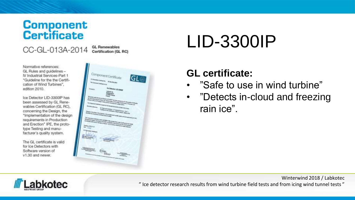# **Component**<br>**Certificate**

CC-GL-013A-2014

Normative references: GL Rules and guidelines -IV Industrial Services-Part 1 "Guideline for the the Certification of Wind Turbines". edition 2010.

Ice Detector LID-3300IP has been assessed by GL Renewables Certification (GL RC), concerning the Design, the \*Implementation of the design requirements in Production and Erection" IPE, the prototype Testing and manufacturer's quality system.

The GL certificate is valid for Ice Detectors with Software version of v1.30 and newer.

**GL Renewables** Certification (GL RC)



# LID-3300IP

### **GL certificate:**

- "Safe to use in wind turbine"
- "Detects in-cloud and freezing rain ice".

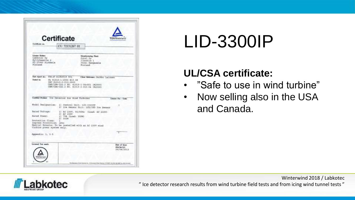|                                                                                                                                                                 | <b>Certificate</b><br><b>TUVRheiniand</b>                                                                                                    |                    |  |
|-----------------------------------------------------------------------------------------------------------------------------------------------------------------|----------------------------------------------------------------------------------------------------------------------------------------------|--------------------|--|
| Certificate se-                                                                                                                                                 | CU 72131267 01                                                                                                                               |                    |  |
| Limour Heider:<br>Labkotec (by<br>myllyhaantie :E<br>FI-33960 Wirkkala<br>Finland                                                                               | <b>Mandatoring Flash:</b><br>Jotal Dy<br>Ilkontie I<br>36241 Kannasala<br>Finland                                                            |                    |  |
| <b>Touled</b> for                                                                                                                                               | UL \$1010-1:2004 B10.04<br>IMC 61010-2-210:2003<br>CAN/CSA-C32.2 ND. 41019-1-04+0II (R2009)                                                  |                    |  |
|                                                                                                                                                                 | CAN/CSA-C22.2 MO. 61019-2-010-04 (R2009)<br>Control Probes The Detector for Wind Turbines                                                    | Lincox For - Costs |  |
|                                                                                                                                                                 | 1) Control Unit: LIN-B300IF<br>2) Ice Sensor Unit: LID/ISD Ice Sensor                                                                        |                    |  |
|                                                                                                                                                                 | 11 AC 230V, 10/400s (Load: AC 230V)<br>21 M2 230V<br>11 TVA (Load: 150W)<br>21 950W<br>Special Remarks: To be installed with an AC 230Y wind |                    |  |
| Model Designation:<br><b>Bated Voltage:</b><br>Rated Power:<br>Protection Class<br>Ingress Protection: IP65<br>turbine power system only.<br>Reparation: 1, 1-6 |                                                                                                                                              |                    |  |

# LID-3300IP

### **UL/CSA certificate:**

- "Safe to use in wind turbine"
- Now selling also in the USA and Canada.

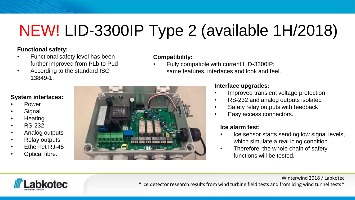## NEW! LID-3300IP Type 2 (available 1H/2018)

#### **Functional safety:**

- Functional safety level has been further improved from PLb to PLd
- According to the standard ISO 13849-1.

#### **Compatibility:**

• Fully compatible with current LID-3300IP; same features, interfaces and look and feel.

#### **System interfaces:**

- Power
- **Signal**
- **Heating**
- RS-232
- Analog outputs
- Relay outputs
- Ethernet RJ-45
- Optical fibre.



#### **Interface upgrades:**

- Improved transient voltage protection
- RS-232 and analog outputs isolated
- Safety relay outputs with feedback
- Easy access connectors.

#### **Ice alarm test:**

Ice sensor starts sending low signal levels, which simulate a real icing condition

Winterwind 2018 / Labkotec

• Therefore, the whole chain of safety functions will be tested.

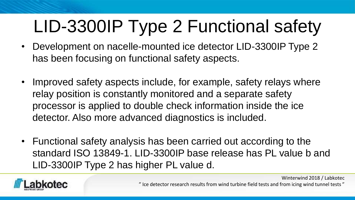# LID-3300IP Type 2 Functional safety

- Development on nacelle-mounted ice detector LID-3300IP Type 2 has been focusing on functional safety aspects.
- Improved safety aspects include, for example, safety relays where relay position is constantly monitored and a separate safety processor is applied to double check information inside the ice detector. Also more advanced diagnostics is included.
- Functional safety analysis has been carried out according to the standard ISO 13849-1. LID-3300IP base release has PL value b and LID-3300IP Type 2 has higher PL value d.



" Ice detector research results from wind turbine field tests and from icing wind tunnel tests "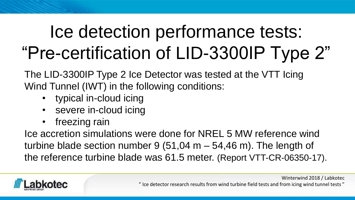# Ice detection performance tests: "Pre-certification of LID-3300IP Type 2"

The LID-3300IP Type 2 Ice Detector was tested at the VTT Icing Wind Tunnel (IWT) in the following conditions:

- typical in-cloud icing
- severe in-cloud icing
- freezing rain

Ice accretion simulations were done for NREL 5 MW reference wind turbine blade section number 9 (51,04 m  $-$  54,46 m). The length of the reference turbine blade was 61.5 meter. (Report VTT-CR-06350-17).



" Ice detector research results from wind turbine field tests and from icing wind tunnel tests "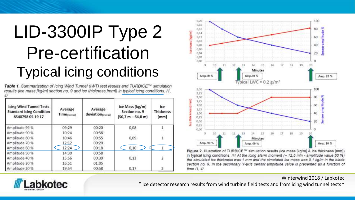## LID-3300IP Type 2 Pre-certification Typical icing conditions

Table 1. Summarization of Icing Wind Tunnel (IWT) test results and TURBICE™ simulation results (ice mass [kg/m] section no. 9 and ice thickness [mm]) in typical icing conditions. /1.

| <b>Icing Wind Tunnel Tests</b><br><b>Standard Icing Condition</b><br>8540798 05 19 17 | Average<br>Time[mm:ss] | Average<br>deviation(mmss) | Ice Mass [kg/m]<br>Section no. 9<br>$(50.7 m - 54.8 m)$ | Ice<br><b>Thickness</b><br>[mm] |
|---------------------------------------------------------------------------------------|------------------------|----------------------------|---------------------------------------------------------|---------------------------------|
| Amplitude 99 %                                                                        | 09:29                  | 00:20                      | 0,08                                                    |                                 |
| Amplitude 90 %                                                                        | 10:24                  | 00:58                      |                                                         |                                 |
| Amplitude 80 %                                                                        | 10:46                  | 00:55                      | 0.09                                                    |                                 |
| Amplitude 70 %                                                                        | 12:12                  | 00:20                      |                                                         |                                 |
| Amplitude 60 %                                                                        | 12:24                  | 00:18                      | 0,10                                                    |                                 |
| Amplitude 50 %                                                                        | 14:30                  | 00:58                      |                                                         |                                 |
| Amplitude 40 %                                                                        | 15:56                  | 00:39                      | 0,13                                                    | $\overline{2}$                  |
| Amplitude 30 %                                                                        | 16:51                  | 01:05                      |                                                         |                                 |
| Amplitude 20 %                                                                        | 19:54                  | 00:58                      | 0.17                                                    |                                 |



Figure 2. Illustration of TURBICE™ simulation results (ice mass [kg/m] & ice thickness [mm]) in typical icing conditions. /4/ At the icing alarm moment (~ 12,5 min - amplitude value 60 %) the simulated ice thickness was 1 mm and the simulated ice mass was 0,1 kg/m in the blade section no. 9. In the secondary Y-axis sensor amplitude value is presented as a function of time /1, 4/.

Winterwind 2018 / Labkotec

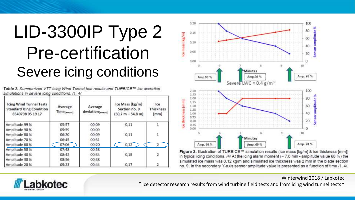## LID-3300IP Type 2 Pre-certification Severe icing conditions

| simulations in severe icing conditions. /1, 4/ |                                                                                   |  |
|------------------------------------------------|-----------------------------------------------------------------------------------|--|
|                                                | Table 2. Summarized VTT lcing Wind Tunnel test results and TURBICE™ ice accretion |  |

| <b>Icing Wind Tunnel Tests</b><br><b>Standard Icing Condition</b><br>8540798 05 19 17 | Average<br>Time <sub>[mmaa]</sub> | Average<br>deviation <sub>[mmaa]</sub> | Ice Mass [kg/m]<br>Section no. 9<br>$(50.7 m - 54.8 m)$ | tce<br><b>Thickness</b><br>[mm] |
|---------------------------------------------------------------------------------------|-----------------------------------|----------------------------------------|---------------------------------------------------------|---------------------------------|
| Amplitude 99 %                                                                        | 05:57                             | 00:09                                  | 0,11                                                    |                                 |
| Amplitude 90 %                                                                        | 05:59                             | 00:09                                  |                                                         |                                 |
| Amplitude 80 %                                                                        | 06:20                             | 00:09                                  | 0.11                                                    |                                 |
| Amplitude 70 %                                                                        | 06:45                             | 00:31                                  |                                                         |                                 |
| Amplitude 60 %                                                                        | 07:06                             | 00:20                                  | 0,12                                                    |                                 |
| Amplitude 50 %                                                                        | 07:48                             | 00:58                                  |                                                         |                                 |
| Amplitude 40 %                                                                        | 08:42                             | 00:34                                  | 0,15                                                    |                                 |
| Amplitude 30 %                                                                        | 08:56                             | 00:38                                  |                                                         |                                 |
| Amplitude 20%                                                                         | 09:23                             | 00:44                                  | 0,17                                                    |                                 |



Figure 3. Illustration of TURBICE™ simulation results (ice mass [kg/m] & ice thickness [mm]) in typical icing conditions. /4/ At the icing alarm moment ( $\sim$  7.0 min - amplitude value 60 %) the simulated ice mass was 0,12 kg/m and simulated ice thickness was 2 mm in the blade section no. 9. In the secondary Y-axis sensor amplitude value is presented as a function of time /1, 4/.

Winterwind 2018 / Labkotec

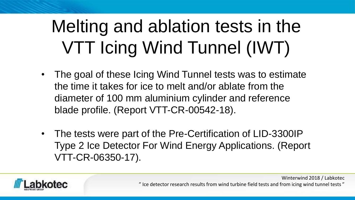# Melting and ablation tests in the VTT Icing Wind Tunnel (IWT)

- The goal of these Icing Wind Tunnel tests was to estimate the time it takes for ice to melt and/or ablate from the diameter of 100 mm aluminium cylinder and reference blade profile. (Report VTT-CR-00542-18).
- The tests were part of the Pre-Certification of LID-3300IP Type 2 Ice Detector For Wind Energy Applications. (Report VTT-CR-06350-17).



" Ice detector research results from wind turbine field tests and from icing wind tunnel tests "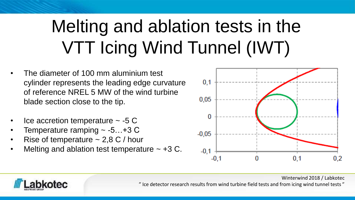# Melting and ablation tests in the VTT Icing Wind Tunnel (IWT)

- The diameter of 100 mm aluminium test cylinder represents the leading edge curvature of reference NREL 5 MW of the wind turbine blade section close to the tip.
- Ice accretion temperature  $\sim$  -5 C
- Temperature ramping  $\sim$  -5...+3 C
- Rise of temperature  $\sim$  2,8 C / hour
- Melting and ablation test temperature  $\sim$  +3 C.



Winterwind 2018 / Labkotec

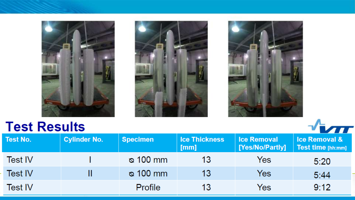





### **Test Results**

| <b>Test No.</b> | Cylinder No. | <b>Specimen</b> | <b>Ice Thickness</b><br>[mm] | <b>Ice Removal</b><br>[Yes/No/Partly] | <b>Ice Removal &amp;</b><br>Test time [hh:mm] |  |
|-----------------|--------------|-----------------|------------------------------|---------------------------------------|-----------------------------------------------|--|
| <b>Test IV</b>  |              | 100 mm ھ        | 13                           | Yes                                   | 5:20                                          |  |
| <b>Test IV</b>  |              | <u>෧</u> 100 mm | 13                           | Yes                                   | 5:44                                          |  |
| <b>Test IV</b>  |              | <b>Profile</b>  | 13                           | Yes                                   | 9:12                                          |  |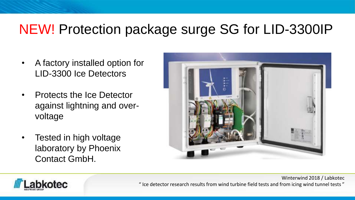### NEW! Protection package surge SG for LID-3300IP

- A factory installed option for LID-3300 Ice Detectors
- Protects the Ice Detector against lightning and overvoltage
- Tested in high voltage laboratory by Phoenix Contact GmbH.